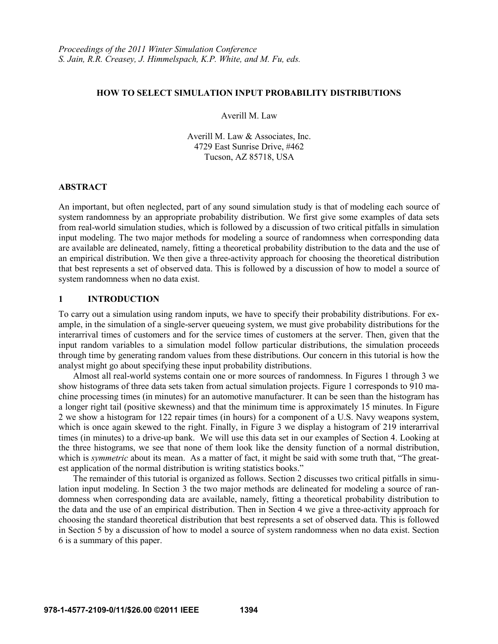#### **HOW TO SELECT SIMULATION INPUT PROBABILITY DISTRIBUTIONS**

Averill M. Law

Averill M. Law & Associates, Inc. 4729 East Sunrise Drive, #462 Tucson, AZ 85718, USA

#### **ABSTRACT**

An important, but often neglected, part of any sound simulation study is that of modeling each source of system randomness by an appropriate probability distribution. We first give some examples of data sets from real-world simulation studies, which is followed by a discussion of two critical pitfalls in simulation input modeling. The two major methods for modeling a source of randomness when corresponding data are available are delineated, namely, fitting a theoretical probability distribution to the data and the use of an empirical distribution. We then give a three-activity approach for choosing the theoretical distribution that best represents a set of observed data. This is followed by a discussion of how to model a source of system randomness when no data exist.

#### **1 INTRODUCTION**

To carry out a simulation using random inputs, we have to specify their probability distributions. For example, in the simulation of a single-server queueing system, we must give probability distributions for the interarrival times of customers and for the service times of customers at the server. Then, given that the input random variables to a simulation model follow particular distributions, the simulation proceeds through time by generating random values from these distributions. Our concern in this tutorial is how the analyst might go about specifying these input probability distributions.

Almost all real-world systems contain one or more sources of randomness. In Figures 1 through 3 we show histograms of three data sets taken from actual simulation projects. Figure 1 corresponds to 910 machine processing times (in minutes) for an automotive manufacturer. It can be seen than the histogram has a longer right tail (positive skewness) and that the minimum time is approximately 15 minutes. In Figure 2 we show a histogram for 122 repair times (in hours) for a component of a U.S. Navy weapons system, which is once again skewed to the right. Finally, in Figure 3 we display a histogram of 219 interarrival times (in minutes) to a drive-up bank. We will use this data set in our examples of Section 4. Looking at the three histograms, we see that none of them look like the density function of a normal distribution, which is *symmetric* about its mean. As a matter of fact, it might be said with some truth that, "The greatest application of the normal distribution is writing statistics books."

The remainder of this tutorial is organized as follows. Section 2 discusses two critical pitfalls in simulation input modeling. In Section 3 the two major methods are delineated for modeling a source of randomness when corresponding data are available, namely, fitting a theoretical probability distribution to the data and the use of an empirical distribution. Then in Section 4 we give a three-activity approach for choosing the standard theoretical distribution that best represents a set of observed data. This is followed in Section 5 by a discussion of how to model a source of system randomness when no data exist. Section 6 is a summary of this paper.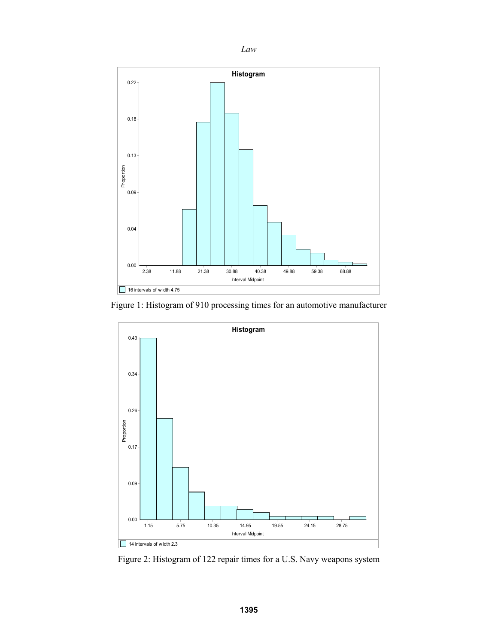

Figure 1: Histogram of 910 processing times for an automotive manufacturer



Figure 2: Histogram of 122 repair times for a U.S. Navy weapons system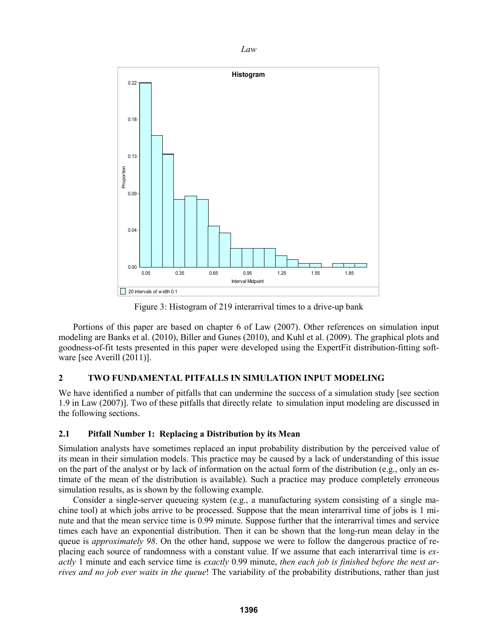# **Histogram** 0.22 0.18 0.13 Proportion Proportion 0.09 0.04 0.00 0.05 0.35 0.65 0.95 1.25 1.55 1.85 Interval Midpoint 20 intervals of width 0.1

*Law*

Figure 3: Histogram of 219 interarrival times to a drive-up bank

Portions of this paper are based on chapter 6 of Law (2007). Other references on simulation input modeling are Banks et al. (2010), Biller and Gunes (2010), and Kuhl et al. (2009). The graphical plots and goodness-of-fit tests presented in this paper were developed using the ExpertFit distribution-fitting software [see Averill (2011)].

# **2 TWO FUNDAMENTAL PITFALLS IN SIMULATION INPUT MODELING**

We have identified a number of pitfalls that can undermine the success of a simulation study [see section] 1.9 in Law (2007)]. Two of these pitfalls that directly relate to simulation input modeling are discussed in the following sections.

# **2.1 Pitfall Number 1: Replacing a Distribution by its Mean**

Simulation analysts have sometimes replaced an input probability distribution by the perceived value of its mean in their simulation models. This practice may be caused by a lack of understanding of this issue on the part of the analyst or by lack of information on the actual form of the distribution (e.g., only an estimate of the mean of the distribution is available). Such a practice may produce completely erroneous simulation results, as is shown by the following example.

Consider a single-server queueing system (e.g., a manufacturing system consisting of a single machine tool) at which jobs arrive to be processed. Suppose that the mean interarrival time of jobs is 1 minute and that the mean service time is 0.99 minute. Suppose further that the interarrival times and service times each have an exponential distribution. Then it can be shown that the long-run mean delay in the queue is *approximately 98*. On the other hand, suppose we were to follow the dangerous practice of replacing each source of randomness with a constant value. If we assume that each interarrival time is *exactly* 1 minute and each service time is *exactly* 0.99 minute, *then each job is finished before the next arrives and no job ever waits in the queue*! The variability of the probability distributions, rather than just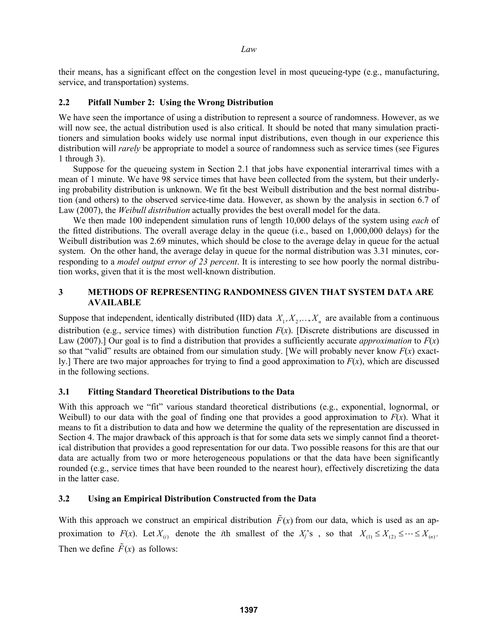their means, has a significant effect on the congestion level in most queueing-type (e.g., manufacturing, service, and transportation) systems.

# **2.2 Pitfall Number 2: Using the Wrong Distribution**

We have seen the importance of using a distribution to represent a source of randomness. However, as we will now see, the actual distribution used is also critical. It should be noted that many simulation practitioners and simulation books widely use normal input distributions, even though in our experience this distribution will *rarely* be appropriate to model a source of randomness such as service times (see Figures 1 through 3).

Suppose for the queueing system in Section 2.1 that jobs have exponential interarrival times with a mean of 1 minute. We have 98 service times that have been collected from the system, but their underlying probability distribution is unknown. We fit the best Weibull distribution and the best normal distribution (and others) to the observed service-time data. However, as shown by the analysis in section 6.7 of Law (2007), the *Weibull distribution* actually provides the best overall model for the data.

We then made 100 independent simulation runs of length 10,000 delays of the system using *each* of the fitted distributions. The overall average delay in the queue (i.e., based on 1,000,000 delays) for the Weibull distribution was 2.69 minutes, which should be close to the average delay in queue for the actual system. On the other hand, the average delay in queue for the normal distribution was 3.31 minutes, corresponding to a *model output error of 23 percent*. It is interesting to see how poorly the normal distribution works, given that it is the most well-known distribution.

# **3 METHODS OF REPRESENTING RANDOMNESS GIVEN THAT SYSTEM DATA ARE AVAILABLE**

Suppose that independent, identically distributed (IID) data  $X_1, X_2, \ldots, X_n$  are available from a continuous distribution (e.g., service times) with distribution function *F*(*x*). [Discrete distributions are discussed in Law (2007).] Our goal is to find a distribution that provides a sufficiently accurate *approximation* to *F*(*x*) so that "valid" results are obtained from our simulation study. [We will probably never know  $F(x)$  exactly.] There are two major approaches for trying to find a good approximation to *F*(*x*), which are discussed in the following sections.

# **3.1 Fitting Standard Theoretical Distributions to the Data**

With this approach we "fit" various standard theoretical distributions (e.g., exponential, lognormal, or Weibull) to our data with the goal of finding one that provides a good approximation to  $F(x)$ . What it means to fit a distribution to data and how we determine the quality of the representation are discussed in Section 4. The major drawback of this approach is that for some data sets we simply cannot find a theoretical distribution that provides a good representation for our data. Two possible reasons for this are that our data are actually from two or more heterogeneous populations or that the data have been significantly rounded (e.g., service times that have been rounded to the nearest hour), effectively discretizing the data in the latter case.

# **3.2 Using an Empirical Distribution Constructed from the Data**

With this approach we construct an empirical distribution  $\tilde{F}(x)$  from our data, which is used as an approximation to  $F(x)$ . Let  $X_{(i)}$  denote the *i*th smallest of the  $X_j$ 's, so that  $X_{(1)} \le X_{(2)} \le \cdots \le X_{(n)}$ . Then we define  $\tilde{F}(x)$  as follows: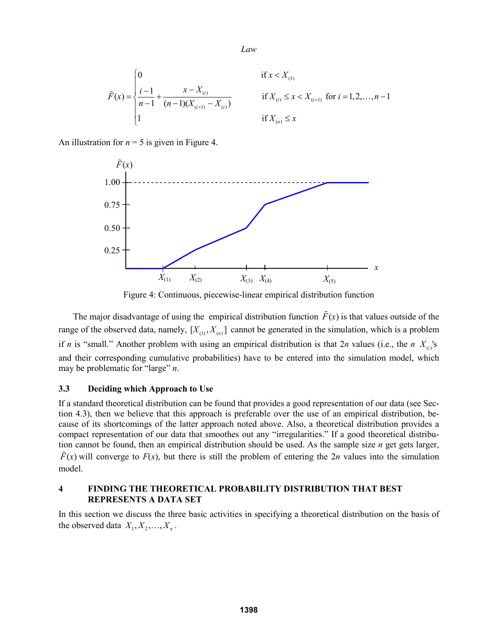*Law*

$$
\tilde{F}(x) = \begin{cases}\n0 & \text{if } x < X_{(1)} \\
\frac{i-1}{n-1} + \frac{x - X_{(i)}}{(n-1)(X_{(i+1)} - X_{(i)})} & \text{if } X_{(i)} \le x < X_{(i+1)} \text{ for } i = 1, 2, ..., n-1 \\
1 & \text{if } X_{(n)} \le x\n\end{cases}
$$

An illustration for  $n = 5$  is given in Figure 4.



Figure 4: Continuous, piecewise-linear empirical distribution function

The major disadvantage of using the empirical distribution function  $\tilde{F}(x)$  is that values outside of the range of the observed data, namely,  $[X_{(1)}, X_{(n)}]$  cannot be generated in the simulation, which is a problem if *n* is "small." Another problem with using an empirical distribution is that  $2n$  values (i.e., the *n*  $X_{(i)}$ 's and their corresponding cumulative probabilities) have to be entered into the simulation model, which may be problematic for "large" *n*.

## **3.3 Deciding which Approach to Use**

If a standard theoretical distribution can be found that provides a good representation of our data (see Section 4.3), then we believe that this approach is preferable over the use of an empirical distribution, because of its shortcomings of the latter approach noted above. Also, a theoretical distribution provides a compact representation of our data that smoothes out any "irregularities." If a good theoretical distribution cannot be found, then an empirical distribution should be used. As the sample size *n* get gets larger,  $\tilde{F}(x)$  will converge to  $F(x)$ , but there is still the problem of entering the 2*n* values into the simulation model.

## **4 FINDING THE THEORETICAL PROBABILITY DISTRIBUTION THAT BEST REPRESENTS A DATA SET**

In this section we discuss the three basic activities in specifying a theoretical distribution on the basis of the observed data  $X_1, X_2, \ldots, X_n$ .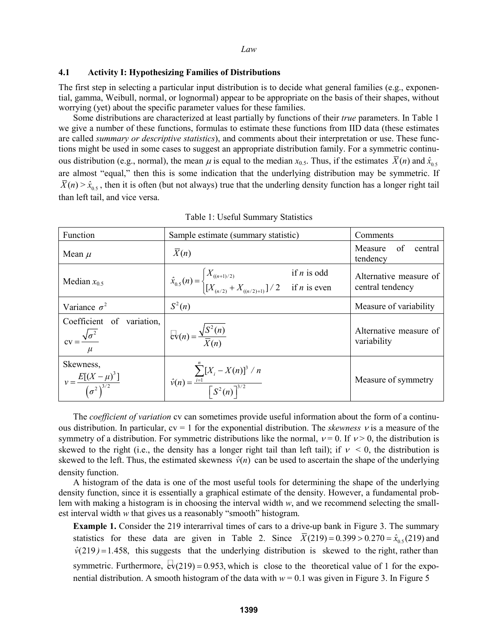#### **4.1 Activity I: Hypothesizing Families of Distributions**

The first step in selecting a particular input distribution is to decide what general families (e.g., exponential, gamma, Weibull, normal, or lognormal) appear to be appropriate on the basis of their shapes, without worrying (yet) about the specific parameter values for these families.

Some distributions are characterized at least partially by functions of their *true* parameters. In Table 1 we give a number of these functions, formulas to estimate these functions from IID data (these estimates are called *summary or descriptive statistics*), and comments about their interpretation or use. These functions might be used in some cases to suggest an appropriate distribution family. For a symmetric continuous distribution (e.g., normal), the mean  $\mu$  is equal to the median  $x_{0.5}$ . Thus, if the estimates  $\bar{X}(n)$  and  $\hat{x}_{0.5}$ are almost "equal," then this is some indication that the underlying distribution may be symmetric. If  $\bar{X}(n) > \hat{x}_{0.5}$ , then it is often (but not always) true that the underling density function has a longer right tail than left tail, and vice versa.

| Function                                                            | Sample estimate (summary statistic)                                                                                                                                                        | Comments                                   |
|---------------------------------------------------------------------|--------------------------------------------------------------------------------------------------------------------------------------------------------------------------------------------|--------------------------------------------|
| Mean $\mu$                                                          | $\overline{X}(n)$                                                                                                                                                                          | of<br>Measure<br>central<br>tendency       |
| Median $x_0$                                                        | if $n$ is odd<br>$\hat{x}_{0.5}(n) = \begin{cases} X_{((n+1)/2)} & \text{if } n \text{ is odd} \\ \left[ X_{(n/2)} + X_{((n/2)+1)} \right] / 2 & \text{if } n \text{ is even} \end{cases}$ | Alternative measure of<br>central tendency |
| Variance $\sigma^2$                                                 | $S^2(n)$                                                                                                                                                                                   | Measure of variability                     |
| Coefficient<br>of<br>variation,<br>$cv = \frac{\sqrt{\sigma^2}}{2}$ | $\overline{\text{cv}}(n) = \frac{\sqrt{S^2(n)}}{\overline{X}(n)}$                                                                                                                          | Alternative measure of<br>variability      |
| Skewness,<br>$v = \frac{E[(X - \mu)^3]}{(\sigma^2)^{3/2}}$          | $\hat{v}(n) = \frac{\sum_{i=1}^{n} [X_i - X(n)]^3 / n}{\left[S^2(n)\right]^{3/2}}$                                                                                                         | Measure of symmetry                        |

Table 1: Useful Summary Statistics

The *coefficient of variation* cv can sometimes provide useful information about the form of a continuous distribution. In particular,  $cv = 1$  for the exponential distribution. The *skewness*  $v$  is a measure of the symmetry of a distribution. For symmetric distributions like the normal,  $v = 0$ . If  $v > 0$ , the distribution is skewed to the right (i.e., the density has a longer right tail than left tail); if  $\nu \leq 0$ , the distribution is skewed to the left. Thus, the estimated skewness  $\hat{v}(n)$  can be used to ascertain the shape of the underlying density function.

A histogram of the data is one of the most useful tools for determining the shape of the underlying density function, since it is essentially a graphical estimate of the density. However, a fundamental problem with making a histogram is in choosing the interval width *w*, and we recommend selecting the smallest interval width *w* that gives us a reasonably "smooth" histogram.

**Example 1.** Consider the 219 interarrival times of cars to a drive-up bank in Figure 3. The summary statistics for these data are given in Table 2. Since  $\overline{X}(219) = 0.399 > 0.270 = \hat{x}_{0.5}(219)$  and  $\hat{v}(219) = 1.458$ , this suggests that the underlying distribution is skewed to the right, rather than symmetric. Furthermore,  $e^{\frac{1}{2}(219)} = 0.953$ , which is close to the theoretical value of 1 for the exponential distribution. A smooth histogram of the data with  $w = 0.1$  was given in Figure 3. In Figure 5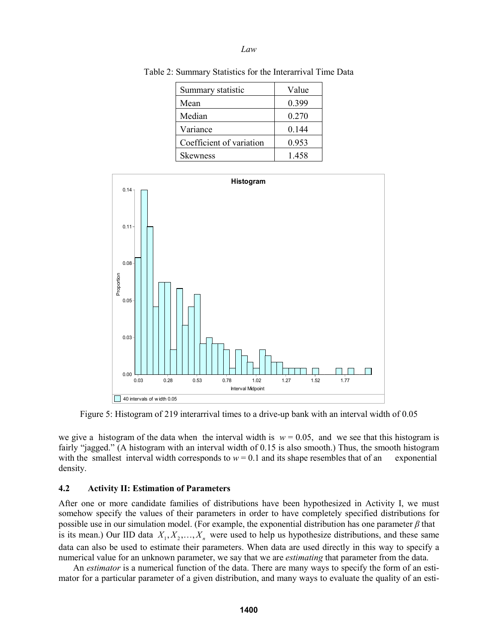| Summary statistic        | Value |
|--------------------------|-------|
| Mean                     | 0.399 |
| Median                   | 0.270 |
| Variance                 | 0.144 |
| Coefficient of variation | 0.953 |
| <b>Skewness</b>          | 1.458 |

Table 2: Summary Statistics for the Interarrival Time Data



Figure 5: Histogram of 219 interarrival times to a drive-up bank with an interval width of 0.05

we give a histogram of the data when the interval width is  $w = 0.05$ , and we see that this histogram is fairly "jagged." (A histogram with an interval width of 0.15 is also smooth.) Thus, the smooth histogram with the smallest interval width corresponds to  $w = 0.1$  and its shape resembles that of an exponential density.

#### **4.2 Activity II: Estimation of Parameters**

After one or more candidate families of distributions have been hypothesized in Activity I, we must somehow specify the values of their parameters in order to have completely specified distributions for possible use in our simulation model. (For example, the exponential distribution has one parameter *β* that is its mean.) Our IID data  $X_1, X_2, ..., X_n$  were used to help us hypothesize distributions, and these same data can also be used to estimate their parameters. When data are used directly in this way to specify a numerical value for an unknown parameter, we say that we are *estimating* that parameter from the data.

An *estimator* is a numerical function of the data. There are many ways to specify the form of an estimator for a particular parameter of a given distribution, and many ways to evaluate the quality of an esti-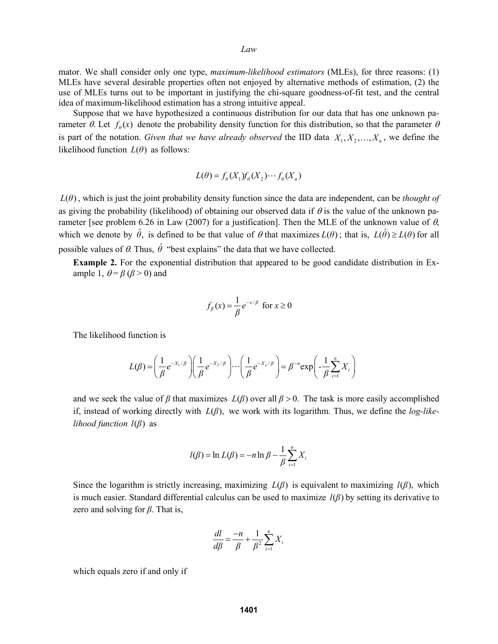mator. We shall consider only one type, *maximum-likelihood estimators* (MLEs), for three reasons: (1) MLEs have several desirable properties often not enjoyed by alternative methods of estimation, (2) the use of MLEs turns out to be important in justifying the chi-square goodness-of-fit test, and the central idea of maximum-likelihood estimation has a strong intuitive appeal.

Suppose that we have hypothesized a continuous distribution for our data that has one unknown parameter  $\theta$ . Let  $f_{\theta}(x)$  denote the probability density function for this distribution, so that the parameter  $\theta$ is part of the notation. *Given that we have already observed* the IID data  $X_1, X_2, ..., X_n$ , we define the likelihood function  $L(\theta)$  as follows:

$$
L(\theta) = f_{\theta}(X_1)f_{\theta}(X_2)\cdots f_{\theta}(X_n)
$$

 $L(\theta)$ , which is just the joint probability density function since the data are independent, can be *thought of* as giving the probability (likelihood) of obtaining our observed data if  $\theta$  is the value of the unknown parameter [see problem 6.26 in Law (2007) for a justification]. Then the MLE of the unknown value of  $\theta$ , which we denote by  $\hat{\theta}$ , is defined to be that value of  $\theta$  that maximizes  $L(\theta)$ ; that is,  $L(\hat{\theta}) \ge L(\theta)$  for all possible values of  $\theta$ . Thus,  $\hat{\theta}$  "best explains" the data that we have collected.

**Example 2.** For the exponential distribution that appeared to be good candidate distribution in Example 1,  $\theta = \beta (\beta > 0)$  and

$$
f_{\beta}(x) = \frac{1}{\beta} e^{-x/\beta} \text{ for } x \ge 0
$$

The likelihood function is

$$
L(\beta) = \left(\frac{1}{\beta}e^{-X_1/\beta}\right)\left(\frac{1}{\beta}e^{-X_2/\beta}\right)\cdots\left(\frac{1}{\beta}e^{-X_n/\beta}\right) = \beta^{-n}\exp\left(-\frac{1}{\beta}\sum_{i=1}^n X_i\right)
$$

and we seek the value of  $\beta$  that maximizes  $L(\beta)$  over all  $\beta > 0$ . The task is more easily accomplished if, instead of working directly with *L*(β), we work with its logarithm. Thus, we define the *log-likelihood function*  $l(\beta)$  as

$$
l(\beta) = \ln L(\beta) = -n \ln \beta - \frac{1}{\beta} \sum_{i=1}^{n} X_i
$$

Since the logarithm is strictly increasing, maximizing  $L(\beta)$  is equivalent to maximizing  $l(\beta)$ , which is much easier. Standard differential calculus can be used to maximize  $l(\beta)$  by setting its derivative to zero and solving for *β*. That is,

$$
\frac{dl}{d\beta} = \frac{-n}{\beta} + \frac{1}{\beta^2} \sum_{i=1}^n X_i
$$

which equals zero if and only if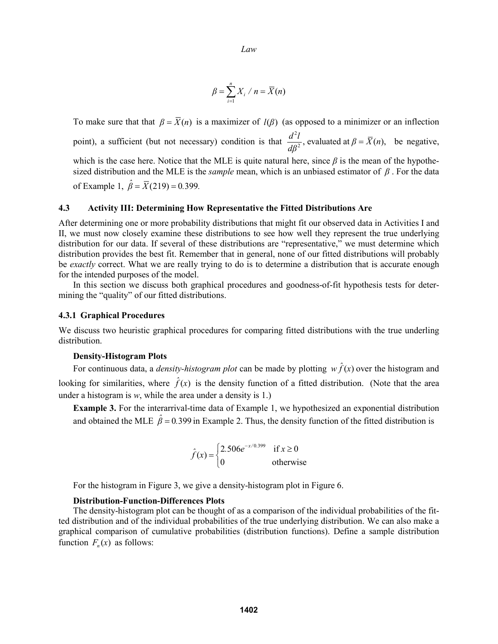After determining one or more probability distributions that might fit our observed data in Activities I and II, we must now closely examine these distributions to see how well they represent the true underlying distribution for our data. If several of these distributions are "representative," we must determine which distribution provides the best fit. Remember that in general, none of our fitted distributions will probably be *exactly* correct. What we are really trying to do is to determine a distribution that is accurate enough for the intended purposes of the model.

In this section we discuss both graphical procedures and goodness-of-fit hypothesis tests for determining the "quality" of our fitted distributions.

#### **4.3.1 Graphical Procedures**

We discuss two heuristic graphical procedures for comparing fitted distributions with the true underling distribution.

#### **Density-Histogram Plots**

For continuous data, a *density-histogram plot* can be made by plotting  $w \hat{f}(x)$  over the histogram and looking for similarities, where  $\hat{f}(x)$  is the density function of a fitted distribution. (Note that the area under a histogram is *w*, while the area under a density is 1.)

**Example 3.** For the interarrival-time data of Example 1, we hypothesized an exponential distribution and obtained the MLE  $\hat{\beta} = 0.399$  in Example 2. Thus, the density function of the fitted distribution is

$$
\hat{f}(x) = \begin{cases} 2.506e^{-x/0.399} & \text{if } x \ge 0\\ 0 & \text{otherwise} \end{cases}
$$

For the histogram in Figure 3, we give a density-histogram plot in Figure 6.

#### **Distribution-Function-Differences Plots**

The density-histogram plot can be thought of as a comparison of the individual probabilities of the fitted distribution and of the individual probabilities of the true underlying distribution. We can also make a graphical comparison of cumulative probabilities (distribution functions). Define a sample distribution function  $F<sub>n</sub>(x)$  as follows:

 $\sum_{i=1}^{n} X_i / n = \overline{X}(n)$ 

To make sure that that  $\beta = \overline{X}(n)$  is a maximizer of  $l(\beta)$  (as opposed to a minimizer or an inflection

which is the case here. Notice that the MLE is quite natural here, since  $\beta$  is the mean of the hypothesized distribution and the MLE is the *sample* mean, which is an unbiased estimator of *β* . For the data

 $\frac{d^2l}{d\beta^2}$ , evaluated at  $\beta = \overline{X}(n)$ , be negative,

1

**4.3 Activity III: Determining How Representative the Fitted Distributions Are**

point), a sufficient (but not necessary) condition is that

of Example 1,  $\hat{\beta} = \overline{X}(219) = 0.399$ .

 $\sum_{i=1}^{N}$  $\beta = \sum X_i / n = X(n)$  $=\sum_{i=1} X_i / n =$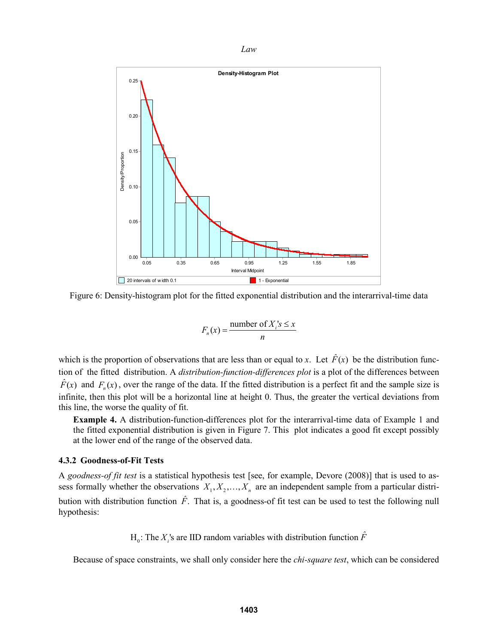

Figure 6: Density-histogram plot for the fitted exponential distribution and the interarrival-time data

$$
F_n(x) = \frac{\text{number of } X_i's \le x}{n}
$$

which is the proportion of observations that are less than or equal to *x*. Let  $\hat{F}(x)$  be the distribution function of the fitted distribution. A *distribution-function-differences plot* is a plot of the differences between  $\hat{F}(x)$  and  $F_n(x)$ , over the range of the data. If the fitted distribution is a perfect fit and the sample size is infinite, then this plot will be a horizontal line at height 0. Thus, the greater the vertical deviations from this line, the worse the quality of fit.

**Example 4.** A distribution-function-differences plot for the interarrival-time data of Example 1 and the fitted exponential distribution is given in Figure 7. This plot indicates a good fit except possibly at the lower end of the range of the observed data.

## **4.3.2 Goodness-of-Fit Tests**

A *goodness-of fit test* is a statistical hypothesis test [see, for example, Devore (2008)] that is used to assess formally whether the observations  $X_1, X_2, \ldots, X_n$  are an independent sample from a particular distribution with distribution function  $\hat{F}$ . That is, a goodness-of fit test can be used to test the following null hypothesis:

H<sub>0</sub>: The  $X_i$ 's are IID random variables with distribution function  $\hat{F}$ 

Because of space constraints, we shall only consider here the *chi-square test*, which can be considered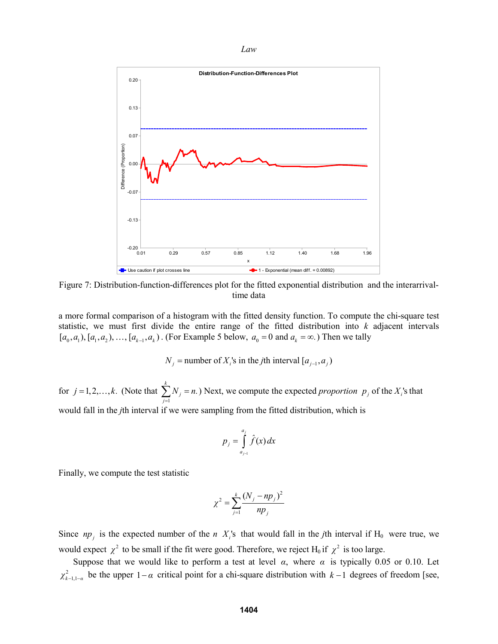

Figure 7: Distribution-function-differences plot for the fitted exponential distribution and the interarrivaltime data

a more formal comparison of a histogram with the fitted density function. To compute the chi-square test statistic, we must first divide the entire range of the fitted distribution into *k* adjacent intervals  $[a_0, a_1), [a_1, a_2), ..., [a_{k-1}, a_k)$ . (For Example 5 below,  $a_0 = 0$  and  $a_k = \infty$ .) Then we tally

 $N_i$  = number of  $X_i$ 's in the *j*th interval  $[a_{j-1}, a_j]$ 

for  $j = 1, 2, ..., k$ . (Note that  $\sum_{j=1}^{k}$  $\sum_{j=1}^{I \cdot \mathbf{v}}$  *j*  $N_i = n$ .  $\sum_{j=1} N_j = n$ .) Next, we compute the expected *proportion*  $p_j$  of the  $X_i$ 's that would fall in the *j*th interval if we were sampling from the fitted distribution, which is

$$
p_j = \int_{a_{j-1}}^{a_j} \hat{f}(x) dx
$$

Finally, we compute the test statistic

$$
\chi^2 = \sum_{j=1}^k \frac{(N_j - np_j)^2}{np_j}
$$

Since  $np_i$  is the expected number of the *n*  $X_i$ 's that would fall in the *j*th interval if H<sub>0</sub> were true, we would expect  $\chi^2$  to be small if the fit were good. Therefore, we reject H<sub>0</sub> if  $\chi^2$  is too large.

Suppose that we would like to perform a test at level  $\alpha$ , where  $\alpha$  is typically 0.05 or 0.10. Let  $\chi^2_{k-1,1-a}$  be the upper  $1-\alpha$  critical point for a chi-square distribution with  $k-1$  degrees of freedom [see,

*Law*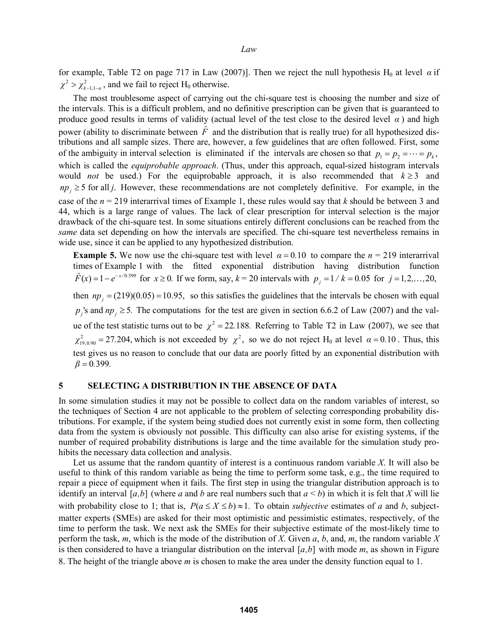for example, Table T2 on page 717 in Law (2007)]. Then we reject the null hypothesis H<sub>0</sub> at level  $\alpha$  if  $\chi^2 > \chi^2_{k-1}$  – *a*, and we fail to reject H<sub>0</sub> otherwise.

The most troublesome aspect of carrying out the chi-square test is choosing the number and size of the intervals. This is a difficult problem, and no definitive prescription can be given that is guaranteed to produce good results in terms of validity (actual level of the test close to the desired level  $\alpha$ ) and high power (ability to discriminate between  $\hat{F}$  and the distribution that is really true) for all hypothesized distributions and all sample sizes. There are, however, a few guidelines that are often followed. First, some of the ambiguity in interval selection is eliminated if the intervals are chosen so that  $p_1 = p_2 = \cdots = p_k$ , which is called the *equiprobable approach*. (Thus, under this approach, equal-sized histogram intervals would *not* be used.) For the equiprobable approach, it is also recommended that  $k \geq 3$  and  $np_i \ge 5$  for all *j*. However, these recommendations are not completely definitive. For example, in the case of the *n* = 219 interarrival times of Example 1, these rules would say that *k* should be between 3 and 44, which is a large range of values. The lack of clear prescription for interval selection is the major drawback of the chi-square test. In some situations entirely different conclusions can be reached from the *same* data set depending on how the intervals are specified. The chi-square test nevertheless remains in wide use, since it can be applied to any hypothesized distribution.

**Example 5.** We now use the chi-square test with level  $\alpha = 0.10$  to compare the  $n = 219$  interarrival times of Example 1 with the fitted exponential distribution having distribution function  $\hat{F}(x) = 1 - e^{-x/(0.399)}$  for  $x \ge 0$ . If we form, say,  $k = 20$  intervals with  $p_j = 1/k = 0.05$  for  $j = 1, 2, ..., 20$ , then  $np_j = (219)(0.05) = 10.95$ , so this satisfies the guidelines that the intervals be chosen with equal  $p_j$ 's and  $np_j \ge 5$ . The computations for the test are given in section 6.6.2 of Law (2007) and the value of the test statistic turns out to be  $\chi^2 = 22.188$ . Referring to Table T2 in Law (2007), we see that  $\chi^2_{19,0.90} = 27.204$ , which is not exceeded by  $\chi^2$ , so we do not reject H<sub>0</sub> at level  $\alpha = 0.10$ . Thus, this test gives us no reason to conclude that our data are poorly fitted by an exponential distribution with  $\beta = 0.399$ .

#### **5 SELECTING A DISTRIBUTION IN THE ABSENCE OF DATA**

In some simulation studies it may not be possible to collect data on the random variables of interest, so the techniques of Section 4 are not applicable to the problem of selecting corresponding probability distributions. For example, if the system being studied does not currently exist in some form, then collecting data from the system is obviously not possible. This difficulty can also arise for existing systems, if the number of required probability distributions is large and the time available for the simulation study prohibits the necessary data collection and analysis.

Let us assume that the random quantity of interest is a continuous random variable *X*. It will also be useful to think of this random variable as being the time to perform some task, e.g., the time required to repair a piece of equipment when it fails. The first step in using the triangular distribution approach is to identify an interval  $[a,b]$  (where *a* and *b* are real numbers such that  $a < b$ ) in which it is felt that *X* will lie with probability close to 1; that is,  $P(a \le X \le b) \approx 1$ . To obtain *subjective* estimates of *a* and *b*, subjectmatter experts (SMEs) are asked for their most optimistic and pessimistic estimates, respectively, of the time to perform the task. We next ask the SMEs for their subjective estimate of the most-likely time to perform the task, *m*, which is the mode of the distribution of *X*. Given *a*, *b*, and, *m*, the random variable *X* is then considered to have a triangular distribution on the interval  $[a,b]$  with mode  $m$ , as shown in Figure 8. The height of the triangle above *m* is chosen to make the area under the density function equal to 1.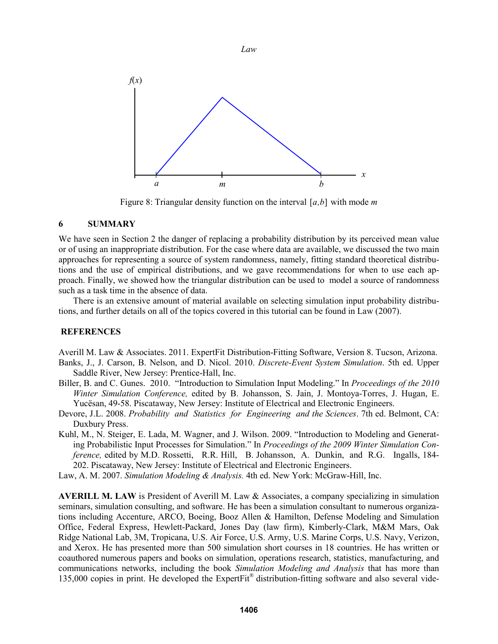

Figure 8: Triangular density function on the interval  $[a,b]$  with mode *m* 

#### **6 SUMMARY**

We have seen in Section 2 the danger of replacing a probability distribution by its perceived mean value or of using an inappropriate distribution. For the case where data are available, we discussed the two main approaches for representing a source of system randomness, namely, fitting standard theoretical distributions and the use of empirical distributions, and we gave recommendations for when to use each approach. Finally, we showed how the triangular distribution can be used to model a source of randomness such as a task time in the absence of data.

There is an extensive amount of material available on selecting simulation input probability distributions, and further details on all of the topics covered in this tutorial can be found in Law (2007).

#### **REFERENCES**

Averill M. Law & Associates. 2011. ExpertFit Distribution-Fitting Software, Version 8. Tucson, Arizona.

- Banks, J., J. Carson, B. Nelson, and D. Nicol. 2010. *Discrete-Event System Simulation*. 5th ed. Upper Saddle River, New Jersey: Prentice-Hall, Inc.
- Biller, B. and C. Gunes. 2010. "Introduction to Simulation Input Modeling." In *Proceedings of the 2010 Winter Simulation Conference,* edited by B. Johansson, S. Jain, J. Montoya-Torres, J. Hugan, E. Yucësan, 49-58. Piscataway, New Jersey: Institute of Electrical and Electronic Engineers.
- Devore, J.L. 2008. *Probability and Statistics for Engineering and the Sciences*. 7th ed. Belmont, CA: Duxbury Press.
- Kuhl, M., N. Steiger, E. Lada, M. Wagner, and J. Wilson. 2009. "Introduction to Modeling and Generating Probabilistic Input Processes for Simulation." In *Proceedings of the 2009 Winter Simulation Conference,* edited by M.D. Rossetti, R.R. Hill, B. Johansson, A. Dunkin, and R.G. Ingalls, 184- 202. Piscataway, New Jersey: Institute of Electrical and Electronic Engineers.
- Law, A. M. 2007. *Simulation Modeling & Analysis.* 4th ed. New York: McGraw-Hill, Inc.

**AVERILL M. LAW** is President of Averill M. Law & Associates, a company specializing in simulation seminars, simulation consulting, and software. He has been a simulation consultant to numerous organizations including Accenture, ARCO, Boeing, Booz Allen & Hamilton, Defense Modeling and Simulation Office, Federal Express, Hewlett-Packard, Jones Day (law firm), Kimberly-Clark, M&M Mars, Oak Ridge National Lab, 3M, Tropicana, U.S. Air Force, U.S. Army, U.S. Marine Corps, U.S. Navy, Verizon, and Xerox. He has presented more than 500 simulation short courses in 18 countries. He has written or coauthored numerous papers and books on simulation, operations research, statistics, manufacturing, and communications networks, including the book *Simulation Modeling and Analysis* that has more than 135,000 copies in print. He developed the ExpertFit® distribution-fitting software and also several vide-